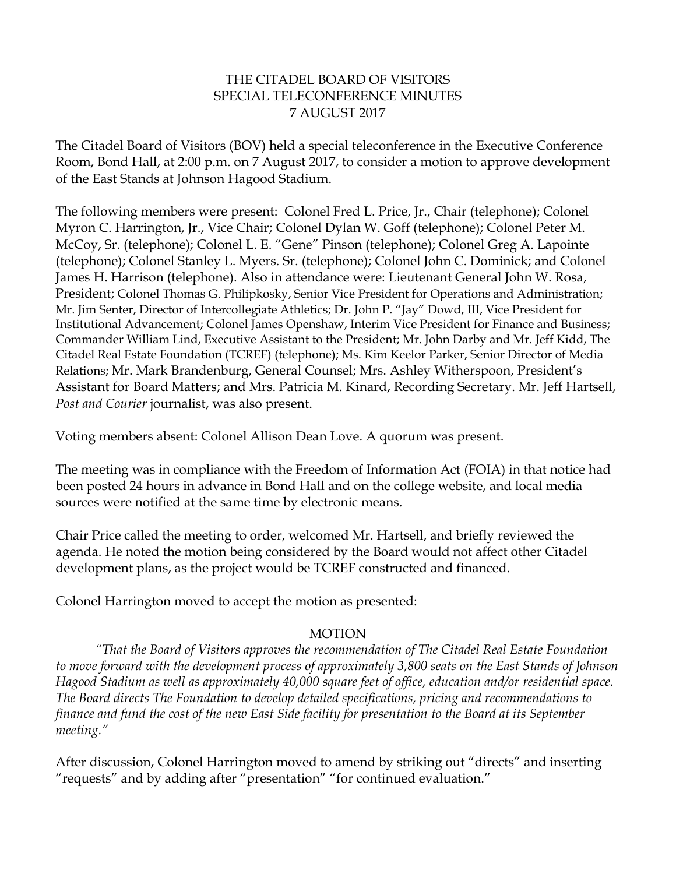## THE CITADEL BOARD OF VISITORS SPECIAL TELECONFERENCE MINUTES 7 AUGUST 2017

The Citadel Board of Visitors (BOV) held a special teleconference in the Executive Conference Room, Bond Hall, at 2:00 p.m. on 7 August 2017, to consider a motion to approve development of the East Stands at Johnson Hagood Stadium.

The following members were present: Colonel Fred L. Price, Jr., Chair (telephone); Colonel Myron C. Harrington, Jr., Vice Chair; Colonel Dylan W. Goff (telephone); Colonel Peter M. McCoy, Sr. (telephone); Colonel L. E. "Gene" Pinson (telephone); Colonel Greg A. Lapointe (telephone); Colonel Stanley L. Myers. Sr. (telephone); Colonel John C. Dominick; and Colonel James H. Harrison (telephone). Also in attendance were: Lieutenant General John W. Rosa, President; Colonel Thomas G. Philipkosky, Senior Vice President for Operations and Administration; Mr. Jim Senter, Director of Intercollegiate Athletics; Dr. John P. "Jay" Dowd, III, Vice President for Institutional Advancement; Colonel James Openshaw, Interim Vice President for Finance and Business; Commander William Lind, Executive Assistant to the President; Mr. John Darby and Mr. Jeff Kidd, The Citadel Real Estate Foundation (TCREF) (telephone); Ms. Kim Keelor Parker, Senior Director of Media Relations; Mr. Mark Brandenburg, General Counsel; Mrs. Ashley Witherspoon, President's Assistant for Board Matters; and Mrs. Patricia M. Kinard, Recording Secretary. Mr. Jeff Hartsell, *Post and Courier* journalist, was also present.

Voting members absent: Colonel Allison Dean Love. A quorum was present.

The meeting was in compliance with the Freedom of Information Act (FOIA) in that notice had been posted 24 hours in advance in Bond Hall and on the college website, and local media sources were notified at the same time by electronic means.

Chair Price called the meeting to order, welcomed Mr. Hartsell, and briefly reviewed the agenda. He noted the motion being considered by the Board would not affect other Citadel development plans, as the project would be TCREF constructed and financed.

Colonel Harrington moved to accept the motion as presented:

## MOTION

*"That the Board of Visitors approves the recommendation of The Citadel Real Estate Foundation to move forward with the development process of approximately 3,800 seats on the East Stands of Johnson Hagood Stadium as well as approximately 40,000 square feet of office, education and/or residential space. The Board directs The Foundation to develop detailed specifications, pricing and recommendations to finance and fund the cost of the new East Side facility for presentation to the Board at its September meeting."*

After discussion, Colonel Harrington moved to amend by striking out "directs" and inserting "requests" and by adding after "presentation" "for continued evaluation."